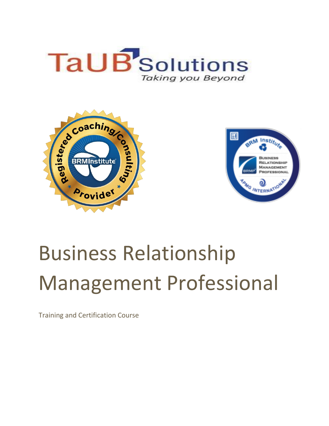





# Business Relationship Management Professional

Training and Certification Course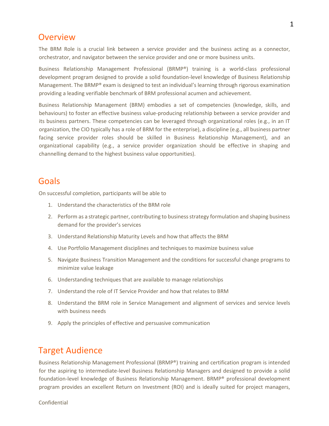## Overview

The BRM Role is a crucial link between a service provider and the business acting as a connector, orchestrator, and navigator between the service provider and one or more business units.

Business Relationship Management Professional (BRMP®) training is a world-class professional development program designed to provide a solid foundation-level knowledge of Business Relationship Management. The BRMP® exam is designed to test an individual's learning through rigorous examination providing a leading verifiable benchmark of BRM professional acumen and achievement.

Business Relationship Management (BRM) embodies a set of competencies (knowledge, skills, and behaviours) to foster an effective business value-producing relationship between a service provider and its business partners. These competencies can be leveraged through organizational roles (e.g., in an IT organization, the CIO typically has a role of BRM for the enterprise), a discipline (e.g., all business partner facing service provider roles should be skilled in Business Relationship Management), and an organizational capability (e.g., a service provider organization should be effective in shaping and channelling demand to the highest business value opportunities).

## Goals

On successful completion, participants will be able to

- 1. Understand the characteristics of the BRM role
- 2. Perform as a strategic partner, contributing to business strategy formulation and shaping business demand for the provider's services
- 3. Understand Relationship Maturity Levels and how that affects the BRM
- 4. Use Portfolio Management disciplines and techniques to maximize business value
- 5. Navigate Business Transition Management and the conditions for successful change programs to minimize value leakage
- 6. Understanding techniques that are available to manage relationships
- 7. Understand the role of IT Service Provider and how that relates to BRM
- 8. Understand the BRM role in Service Management and alignment of services and service levels with business needs
- 9. Apply the principles of effective and persuasive communication

## Target Audience

Business Relationship Management Professional (BRMP®) training and certification program is intended for the aspiring to intermediate-level Business Relationship Managers and designed to provide a solid foundation-level knowledge of Business Relationship Management. BRMP® professional development program provides an excellent Return on Investment (ROI) and is ideally suited for project managers,

Confidential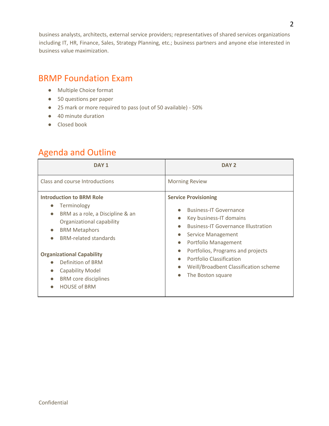business analysts, architects, external service providers; representatives of shared services organizations including IT, HR, Finance, Sales, Strategy Planning, etc.; business partners and anyone else interested in business value maximization.

# BRMP Foundation Exam

- Multiple Choice format
- 50 questions per paper
- 25 mark or more required to pass (out of 50 available) 50%
- 40 minute duration
- Closed book

# Agenda and Outline

| DAY <sub>1</sub>                                                                                                                                                                                                                                                                                                                                                                                | DAY <sub>2</sub>                                                                                                                                                                                                                                                                                                                                                                                                                               |
|-------------------------------------------------------------------------------------------------------------------------------------------------------------------------------------------------------------------------------------------------------------------------------------------------------------------------------------------------------------------------------------------------|------------------------------------------------------------------------------------------------------------------------------------------------------------------------------------------------------------------------------------------------------------------------------------------------------------------------------------------------------------------------------------------------------------------------------------------------|
| Class and course Introductions                                                                                                                                                                                                                                                                                                                                                                  | <b>Morning Review</b>                                                                                                                                                                                                                                                                                                                                                                                                                          |
| <b>Introduction to BRM Role</b><br>Terminology<br>$\bullet$<br>BRM as a role, a Discipline & an<br>$\bullet$<br>Organizational capability<br><b>BRM Metaphors</b><br>$\bullet$<br><b>BRM-related standards</b><br>$\bullet$<br><b>Organizational Capability</b><br>Definition of BRM<br><b>Capability Model</b><br>$\bullet$<br><b>BRM</b> core disciplines<br>$\bullet$<br><b>HOUSE of BRM</b> | <b>Service Provisioning</b><br><b>Business-IT Governance</b><br>$\bullet$<br>Key business-IT domains<br>$\bullet$<br><b>Business-IT Governance Illustration</b><br>$\bullet$<br>Service Management<br>$\bullet$<br>Portfolio Management<br>$\bullet$<br>Portfolios, Programs and projects<br>$\bullet$<br><b>Portfolio Classification</b><br>$\bullet$<br>Weill/Broadbent Classification scheme<br>$\bullet$<br>The Boston square<br>$\bullet$ |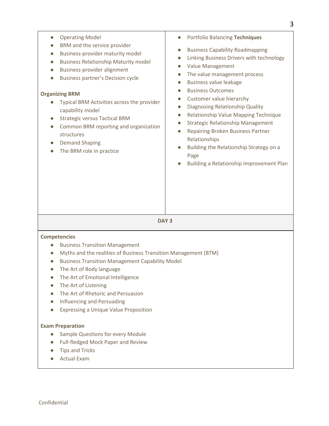| <b>Operating Model</b><br>$\bullet$<br>BRM and the service provider<br>$\bullet$<br>Business-provider maturity model<br>$\bullet$<br><b>Business Relationship Maturity model</b><br>$\bullet$<br>Business-provider alignment<br>$\bullet$<br>Business partner's Decision cycle<br>$\bullet$<br><b>Organizing BRM</b><br>Typical BRM Activities across the provider<br>capability model<br><b>Strategic versus Tactical BRM</b><br>$\bullet$<br>Common BRM reporting and organization<br>$\bullet$<br>structures<br><b>Demand Shaping</b><br>The BRM role in practice | <b>Portfolio Balancing Techniques</b><br>$\bullet$<br><b>Business Capability Roadmapping</b><br>$\bullet$<br>Linking Business Drivers with technology<br>$\bullet$<br>Value Management<br>$\bullet$<br>The value management process<br>$\bullet$<br><b>Business value leakage</b><br>$\bullet$<br><b>Business Outcomes</b><br>$\bullet$<br>Customer value hierarchy<br>$\bullet$<br>Diagnosing Relationship Quality<br>$\bullet$<br>Relationship Value Mapping Technique<br>$\bullet$<br><b>Strategic Relationship Management</b><br>$\bullet$<br>Repairing Broken Business Partner<br>$\bullet$<br>Relationships<br>Building the Relationship Strategy on a<br>$\bullet$<br>Page<br>Building a Relationship Improvement Plan |
|----------------------------------------------------------------------------------------------------------------------------------------------------------------------------------------------------------------------------------------------------------------------------------------------------------------------------------------------------------------------------------------------------------------------------------------------------------------------------------------------------------------------------------------------------------------------|-------------------------------------------------------------------------------------------------------------------------------------------------------------------------------------------------------------------------------------------------------------------------------------------------------------------------------------------------------------------------------------------------------------------------------------------------------------------------------------------------------------------------------------------------------------------------------------------------------------------------------------------------------------------------------------------------------------------------------|
|                                                                                                                                                                                                                                                                                                                                                                                                                                                                                                                                                                      |                                                                                                                                                                                                                                                                                                                                                                                                                                                                                                                                                                                                                                                                                                                               |

**DAY 3** 

## **Competencies**

- Business Transition Management
- Myths and the realities of Business Transition Management (BTM)
- Business Transition Management Capability Model
- The Art of Body language
- The Art of Emotional Intelligence
- The Art of Listening
- The Art of Rhetoric and Persuasion
- Influencing and Persuading
- Expressing a Unique Value Proposition

## **Exam Preparation**

- Sample Questions for every Module
- Full-fledged Mock Paper and Review
- Tips and Tricks
- Actual Exam